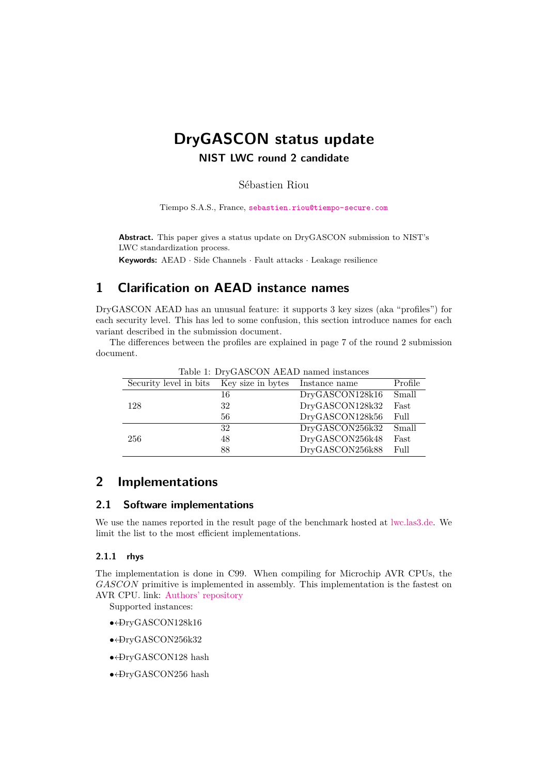# **DryGASCON status update**

## **NIST LWC round 2 candidate**

#### Sébastien Riou

Tiempo S.A.S., France, [sebastien.riou@tiempo-secure.com](mailto:sebastien.riou@tiempo-secure.com)

**Abstract.** This paper gives a status update on DryGASCON submission to NIST's LWC standardization process.

**Keywords:** AEAD · Side Channels · Fault attacks · Leakage resilience

# **1 Clarifcation on AEAD instance names**

DryGASCON AEAD has an unusual feature: it supports 3 key sizes (aka "profles") for each security level. This has led to some confusion, this section introduce names for each variant described in the submission document.

The differences between the profiles are explained in page 7 of the round 2 submission document.

| Table 1: DryGASCON AEAD named instances  |    |                 |         |  |
|------------------------------------------|----|-----------------|---------|--|
| Security level in bits Key size in bytes |    | Instance name   | Profile |  |
|                                          | 16 | DryGASCON128k16 | Small   |  |
| 128                                      | 32 | DryGASCON128k32 | Fast    |  |
|                                          | 56 | DryGASCON128k56 | Full    |  |
|                                          | 32 | DryGASCON256k32 | Small   |  |
| 256                                      | 48 | DryGASCON256k48 | Fast    |  |
|                                          | 88 | DryGASCON256k88 | Full    |  |

 $Table 1: DwCACCONATEAD named$ 

# **2 Implementations**

### **2.1 Software implementations**

We use the names reported in the result page of the benchmark hosted at [lwc.las3.de.](https://lwc.las3.de) We limit the list to the most efficient implementations.

#### **2.1.1 rhys**

The implementation is done in C99. When compiling for Microchip AVR CPUs, the *GASCON* primitive is implemented in assembly. This implementation is the fastest on AVR CPU. link: [Authors' repository](https://github.com/rweather/lightweight-crypto/tree/master/src/individual/DryGASCON) 

Supported instances:

- $\rightarrow$  DryGASCON128k16
- $\rightarrow$  DryGASCON256k32
- $\rightarrow$  DryGASCON128 hash
- $\rightarrow$  DryGASCON256 hash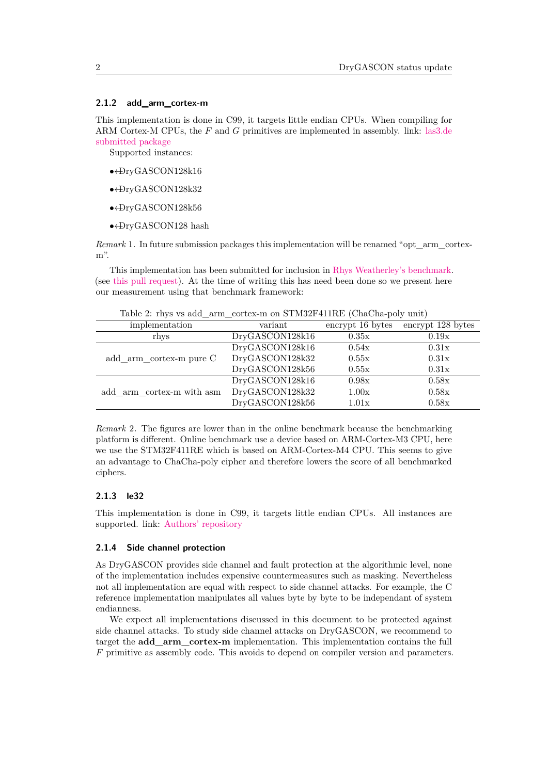#### **2.1.2 add\_arm\_cortex-m**

This implementation is done in C99, it targets little endian CPUs. When compiling for ARM Cortex-M CPUs, the *F* and *G* primitives are implemented in assembly. link: [las3.de](https://lab.las3.de/gitlab/lwc/candidates/tree/master/drygascon/Implementations/crypto_aead/drygascon128/add_arm_cortex-m)  [submitted package](https://lab.las3.de/gitlab/lwc/candidates/tree/master/drygascon/Implementations/crypto_aead/drygascon128/add_arm_cortex-m) 

Supported instances:

- $\rightarrow$  DryGASCON128k16
- $\rightarrow$  DryGASCON128k32
- $\rightarrow$  DryGASCON128k56
- $\bullet$  +DryGASCON128 hash

*Remark* 1*.* In future submission packages this implementation will be renamed "opt\_arm\_cortexm".

This implementation has been submitted for inclusion in [Rhys Weatherley's benchmark.](https://rweather.github.io/lightweight-crypto/performance.html) (see [this pull request\)](https://github.com/rweather/lightweight-crypto/pull/2). At the time of writing this has need been done so we present here our measurement using that benchmark framework:

|                           |                 | $\cdot$          |                   |  |
|---------------------------|-----------------|------------------|-------------------|--|
| implementation            | variant         | encrypt 16 bytes | encrypt 128 bytes |  |
| rhys                      | DryGASCON128k16 | 0.35x            | 0.19x             |  |
| add arm cortex-m pure C   | DryGASCON128k16 | 0.54x            | 0.31x             |  |
|                           | DryGASCON128k32 | 0.55x            | 0.31x             |  |
|                           | DryGASCON128k56 | 0.55x            | 0.31x             |  |
| add arm cortex-m with asm | DryGASCON128k16 | 0.98x            | 0.58x             |  |
|                           | DryGASCON128k32 | 1.00x            | 0.58x             |  |
|                           | DryGASCON128k56 | 1.01x            | 0.58x             |  |

Table 2: rhys vs add\_arm\_cortex-m on STM32F411RE (ChaCha-poly unit)

*Remark* 2. The figures are lower than in the online benchmark because the benchmarking platform is different. Online benchmark use a device based on ARM-Cortex-M3 CPU, here we use the STM32F411RE which is based on ARM-Cortex-M4 CPU. This seems to give an advantage to ChaCha-poly cipher and therefore lowers the score of all benchmarked ciphers.

#### **2.1.3 le32**

This implementation is done in C99, it targets little endian CPUs. All instances are supported. link: [Authors' repository](https://github.com/sebastien-riou/DryGASCON/tree/master/Implementations/crypto_aead/drygascon128/le32) 

#### **2.1.4 Side channel protection**

As DryGASCON provides side channel and fault protection at the algorithmic level, none of the implementation includes expensive countermeasures such as masking. Nevertheless not all implementation are equal with respect to side channel attacks. For example, the C reference implementation manipulates all values byte by byte to be independant of system endianness.

We expect all implementations discussed in this document to be protected against side channel attacks. To study side channel attacks on DryGASCON, we recommend to target the **add\_arm\_cortex-m** implementation. This implementation contains the full *F* primitive as assembly code. This avoids to depend on compiler version and parameters.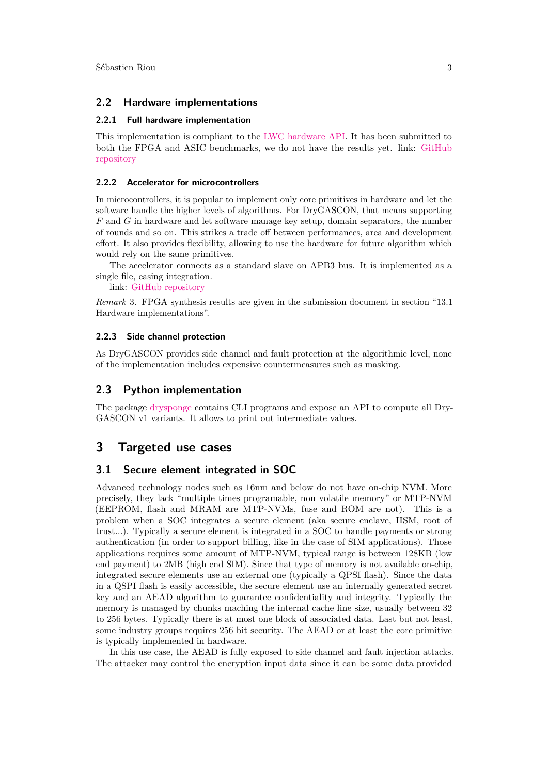#### **2.2 Hardware implementations**

#### **2.2.1 Full hardware implementation**

This implementation is compliant to the [LWC hardware API.](https://cryptography.gmu.edu/athena/index.php?id=LWC) It has been submitted to both the FPGA and ASIC benchmarks, we do not have the results yet. link: [GitHub](https://github.com/sebastien-riou/DryGASCON-LWC-API)  [repository](https://github.com/sebastien-riou/DryGASCON-LWC-API) 

#### **2.2.2 Accelerator for microcontrollers**

In microcontrollers, it is popular to implement only core primitives in hardware and let the software handle the higher levels of algorithms. For DryGASCON, that means supporting *F* and *G* in hardware and let software manage key setup, domain separators, the number of rounds and so on. This strikes a trade off between performances, area and development effort. It also provides flexibility, allowing to use the hardware for future algorithm which would rely on the same primitives.

The accelerator connects as a standard slave on APB3 bus. It is implemented as a single fle, easing integration.

link: [GitHub repository](https://github.com/sebastien-riou/DryGASCON/blob/master/Implementations/crypto_aead/drygascon128/add_verilog/drygascon128_1round_cycle/drygascon128_ACC_PIPE_MIX_SHIFT_REG.v) 

*Remark* 3*.* FPGA synthesis results are given in the submission document in section "13.1 Hardware implementations".

#### **2.2.3 Side channel protection**

As DryGASCON provides side channel and fault protection at the algorithmic level, none of the implementation includes expensive countermeasures such as masking.

#### **2.3 Python implementation**

The package [drysponge](https://drygascon.readthedocs.io/en/latest/) contains CLI programs and expose an API to compute all Dry-GASCON v1 variants. It allows to print out intermediate values.

# **3 Targeted use cases**

### <span id="page-2-0"></span>**3.1 Secure element integrated in SOC**

Advanced technology nodes such as 16nm and below do not have on-chip NVM. More precisely, they lack "multiple times programable, non volatile memory" or MTP-NVM (EEPROM, fash and MRAM are MTP-NVMs, fuse and ROM are not). This is a problem when a SOC integrates a secure element (aka secure enclave, HSM, root of trust...). Typically a secure element is integrated in a SOC to handle payments or strong authentication (in order to support billing, like in the case of SIM applications). Those applications requires some amount of MTP-NVM, typical range is between 128KB (low end payment) to 2MB (high end SIM). Since that type of memory is not available on-chip, integrated secure elements use an external one (typically a QPSI fash). Since the data in a QSPI fash is easily accessible, the secure element use an internally generated secret key and an AEAD algorithm to guarantee confdentiality and integrity. Typically the memory is managed by chunks maching the internal cache line size, usually between 32 to 256 bytes. Typically there is at most one block of associated data. Last but not least, some industry groups requires 256 bit security. The AEAD or at least the core primitive is typically implemented in hardware.

In this use case, the AEAD is fully exposed to side channel and fault injection attacks. The attacker may control the encryption input data since it can be some data provided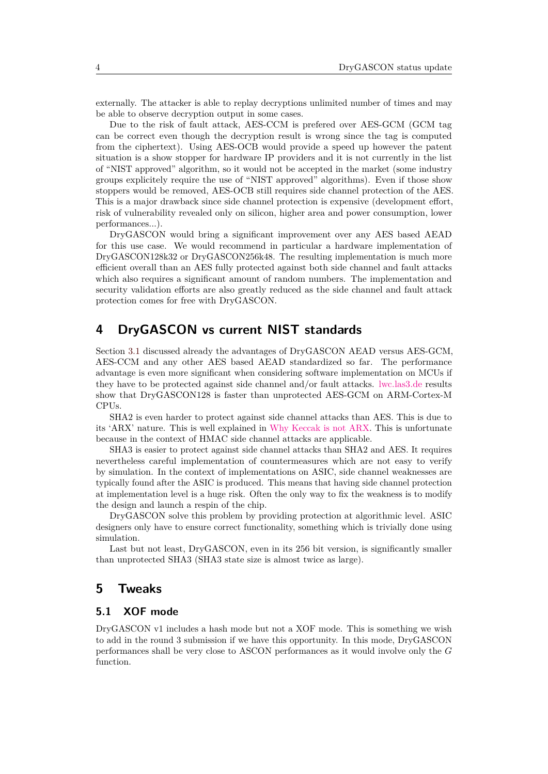externally. The attacker is able to replay decryptions unlimited number of times and may be able to observe decryption output in some cases.

Due to the risk of fault attack, AES-CCM is prefered over AES-GCM (GCM tag can be correct even though the decryption result is wrong since the tag is computed from the ciphertext). Using AES-OCB would provide a speed up however the patent situation is a show stopper for hardware IP providers and it is not currently in the list of "NIST approved" algorithm, so it would not be accepted in the market (some industry groups explicitely require the use of "NIST approved" algorithms). Even if those show stoppers would be removed, AES-OCB still requires side channel protection of the AES. This is a major drawback since side channel protection is expensive (development effort, risk of vulnerability revealed only on silicon, higher area and power consumption, lower performances...).

DryGASCON would bring a signifcant improvement over any AES based AEAD for this use case. We would recommend in particular a hardware implementation of DryGASCON128k32 or DryGASCON256k48. The resulting implementation is much more efficient overall than an AES fully protected against both side channel and fault attacks which also requires a significant amount of random numbers. The implementation and security validation efforts are also greatly reduced as the side channel and fault attack protection comes for free with DryGASCON.

# **4 DryGASCON vs current NIST standards**

Section [3.1](#page-2-0) discussed already the advantages of DryGASCON AEAD versus AES-GCM, AES-CCM and any other AES based AEAD standardized so far. The performance advantage is even more signifcant when considering software implementation on MCUs if they have to be protected against side channel and/or fault attacks. [lwc.las3.de](https://lwc.las3.de) results show that DryGASCON128 is faster than unprotected AES-GCM on ARM-Cortex-M CPUs.

SHA2 is even harder to protect against side channel attacks than AES. This is due to its 'ARX' nature. This is well explained in [Why Keccak is not ARX.](https://keccak.team/2017/not_arx.html) This is unfortunate because in the context of HMAC side channel attacks are applicable.

SHA3 is easier to protect against side channel attacks than SHA2 and AES. It requires nevertheless careful implementation of countermeasures which are not easy to verify by simulation. In the context of implementations on ASIC, side channel weaknesses are typically found after the ASIC is produced. This means that having side channel protection at implementation level is a huge risk. Often the only way to fx the weakness is to modify the design and launch a respin of the chip.

DryGASCON solve this problem by providing protection at algorithmic level. ASIC designers only have to ensure correct functionality, something which is trivially done using simulation.

Last but not least, DryGASCON, even in its 256 bit version, is significantly smaller than unprotected SHA3 (SHA3 state size is almost twice as large).

# **5 Tweaks**

#### **5.1 XOF mode**

DryGASCON v1 includes a hash mode but not a XOF mode. This is something we wish to add in the round 3 submission if we have this opportunity. In this mode, DryGASCON performances shall be very close to ASCON performances as it would involve only the *G* function.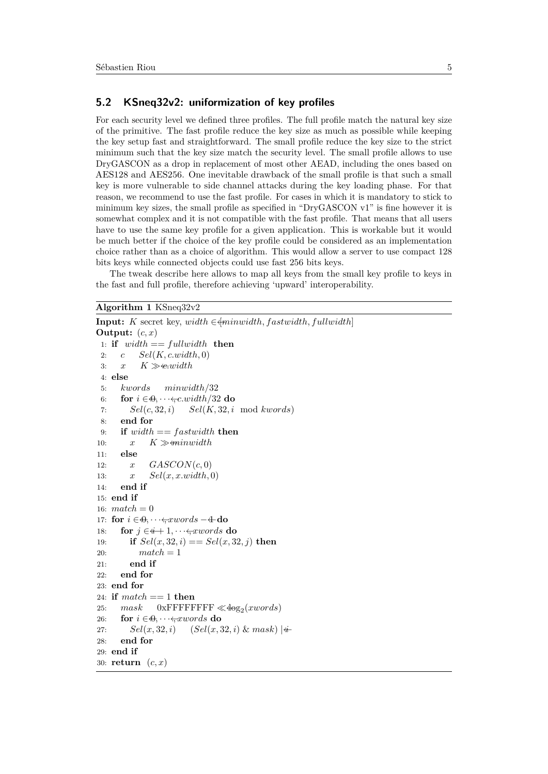#### **5.2 KSneq32v2: uniformization of key profles**

For each security level we defned three profles. The full profle match the natural key size of the primitive. The fast profle reduce the key size as much as possible while keeping the key setup fast and straightforward. The small profle reduce the key size to the strict minimum such that the key size match the security level. The small profle allows to use DryGASCON as a drop in replacement of most other AEAD, including the ones based on AES128 and AES256. One inevitable drawback of the small profle is that such a small key is more vulnerable to side channel attacks during the key loading phase. For that reason, we recommend to use the fast profle. For cases in which it is mandatory to stick to minimum key sizes, the small profle as specifed in "DryGASCON v1" is fne however it is somewhat complex and it is not compatible with the fast profle. That means that all users have to use the same key profle for a given application. This is workable but it would be much better if the choice of the key profle could be considered as an implementation choice rather than as a choice of algorithm. This would allow a server to use compact 128 bits keys while connected objects could use fast 256 bits keys.

The tweak describe here allows to map all keys from the small key profle to keys in the fast and full profle, therefore achieving 'upward' interoperability.

#### **Algorithm 1** KSneq32v2

```
Sel(c, 32, i)Input: K secret key, width \in \{minwidth, fastwidth, fullwidth\}Output: (c, x)1: if width == fullwidth then
 2: c Sel(K, c.width, 0)
 3: x K \gg \in \mathcal{L} width
 4: else
 5: kwords minwidth/32
 6: for i \in \Theta, \cdots, \leftarrowc.width/32 do
 7: Sel(c, 32, i) Sel(K, 32, i mod kwords)
 8: end for
 9: if width == f astwidth then
10: x \quad K \gg \text{minwidth}11: else
12: x GASCON(c, 0)
13: x Sel(x, x.width, 0)
14: end if
15: end if
16: match = 017: for i 2 0, · · · , xwords − 1 do
18: for i \in \{i+1, \dots, x \} do
19: if Sel(x, 32, i) == Sel(x, 32, i) then
20: match = 121: end if
22: end for
23: end for
24: if match == 1 then
25: mask 0xFFFFFFFF \ll \deg_2(xwords)26: for i \in \Theta, \cdots, xwords do
27: Sel(x, 32, i) \quad (Sel(x, 32, i) \& mask) \geq \frac{1}{2}28: end for
29: end if
30: return (c, x)
```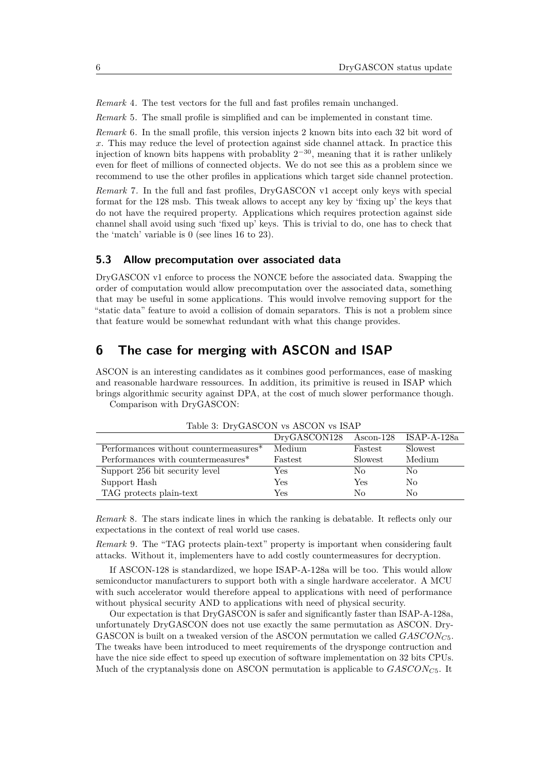*Remark* 4*.* The test vectors for the full and fast profles remain unchanged.

*Remark* 5*.* The small profle is simplifed and can be implemented in constant time.

*Remark* 6*.* In the small profle, this version injects 2 known bits into each 32 bit word of *x*. This may reduce the level of protection against side channel attack. In practice this injection of known bits happens with probablity  $2^{-30}$ , meaning that it is rather unlikely even for feet of millions of connected objects. We do not see this as a problem since we recommend to use the other profles in applications which target side channel protection.

*Remark* 7*.* In the full and fast profles, DryGASCON v1 accept only keys with special format for the 128 msb. This tweak allows to accept any key by 'fxing up' the keys that do not have the required property. Applications which requires protection against side channel shall avoid using such 'fxed up' keys. This is trivial to do, one has to check that the 'match' variable is 0 (see lines 16 to 23).

#### **5.3 Allow precomputation over associated data**

DryGASCON v1 enforce to process the NONCE before the associated data. Swapping the order of computation would allow precomputation over the associated data, something that may be useful in some applications. This would involve removing support for the "static data" feature to avoid a collision of domain separators. This is not a problem since that feature would be somewhat redundant with what this change provides.

# **6 The case for merging with ASCON and ISAP**

ASCON is an interesting candidates as it combines good performances, ease of masking and reasonable hardware ressources. In addition, its primitive is reused in ISAP which brings algorithmic security against DPA, at the cost of much slower performance though.

Comparison with DryGASCON:

| DryGASCON128 |         | Ascon-128 ISAP-A-128a |
|--------------|---------|-----------------------|
| Medium       | Fastest | Slowest               |
| Fastest      | Slowest | Medium                |
| Yes          | No      | No                    |
| Yes          | Yes     | No                    |
| Yes          | No      | No                    |
|              |         |                       |

Table 3: DryGASCON vs ASCON vs ISAP

*Remark* 8*.* The stars indicate lines in which the ranking is debatable. It refects only our expectations in the context of real world use cases.

*Remark* 9*.* The "TAG protects plain-text" property is important when considering fault attacks. Without it, implementers have to add costly countermeasures for decryption.

If ASCON-128 is standardized, we hope ISAP-A-128a will be too. This would allow semiconductor manufacturers to support both with a single hardware accelerator. A MCU with such accelerator would therefore appeal to applications with need of performance without physical security AND to applications with need of physical security.

Our expectation is that DryGASCON is safer and signifcantly faster than ISAP-A-128a, unfortunately DryGASCON does not use exactly the same permutation as ASCON. Dry-GASCON is built on a tweaked version of the ASCON permutation we called *GASCON<sup>C</sup>*5. The tweaks have been introduced to meet requirements of the drysponge contruction and have the nice side effect to speed up execution of software implementation on 32 bits CPUs. Much of the cryptanalysis done on ASCON permutation is applicable to  $GASCON<sub>C5</sub>$ . It